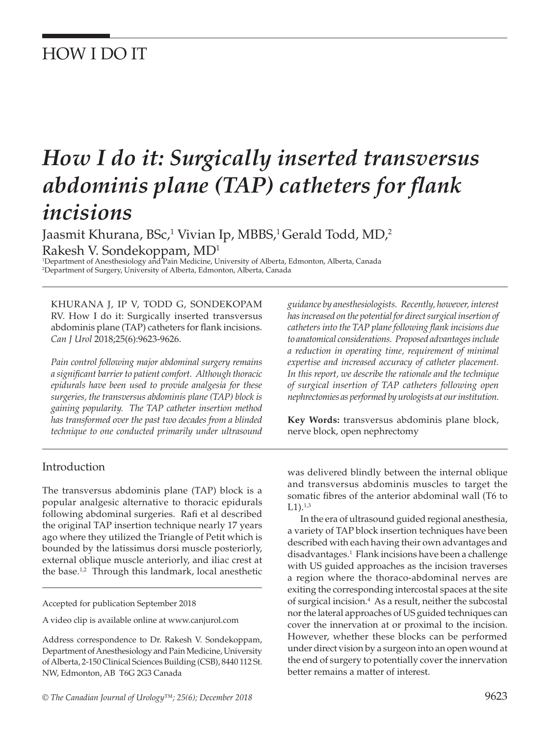## HOW I DO IT

# *How I do it: Surgically inserted transversus abdominis plane (TAP) catheters for flank incisions*

Jaasmit Khurana, BSc,<sup>1</sup> Vivian Ip, MBBS,<sup>1</sup> Gerald Todd, MD,<sup>2</sup> Rakesh V. Sondekoppam, MD1

1 Department of Anesthesiology and Pain Medicine, University of Alberta, Edmonton, Alberta, Canada 2 Department of Surgery, University of Alberta, Edmonton, Alberta, Canada

KHURANA J, IP V, TODD G, SONDEKOPAM RV. How I do it: Surgically inserted transversus abdominis plane (TAP) catheters for flank incisions. *Can J Urol* 2018;25(6):9623-9626.

*Pain control following major abdominal surgery remains a significant barrier to patient comfort. Although thoracic epidurals have been used to provide analgesia for these surgeries, the transversus abdominis plane (TAP) block is gaining popularity. The TAP catheter insertion method has transformed over the past two decades from a blinded technique to one conducted primarily under ultrasound* 

Introduction

The transversus abdominis plane (TAP) block is a popular analgesic alternative to thoracic epidurals following abdominal surgeries. Rafi et al described the original TAP insertion technique nearly 17 years ago where they utilized the Triangle of Petit which is bounded by the latissimus dorsi muscle posteriorly, external oblique muscle anteriorly, and iliac crest at the base.<sup>1,2</sup> Through this landmark, local anesthetic

Accepted for publication September 2018

A video clip is available online at www.canjurol.com

Address correspondence to Dr. Rakesh V. Sondekoppam, Department of Anesthesiology and Pain Medicine, University of Alberta, 2-150 Clinical Sciences Building (CSB), 8440 112 St. NW, Edmonton, AB T6G 2G3 Canada

*guidance by anesthesiologists. Recently, however, interest has increased on the potential for direct surgical insertion of catheters into the TAP plane following flank incisions due to anatomical considerations. Proposed advantages include a reduction in operating time, requirement of minimal expertise and increased accuracy of catheter placement. In this report, we describe the rationale and the technique of surgical insertion of TAP catheters following open nephrectomies as performed by urologists at our institution.* 

**Key Words:** transversus abdominis plane block, nerve block, open nephrectomy

was delivered blindly between the internal oblique and transversus abdominis muscles to target the somatic fibres of the anterior abdominal wall (T6 to  $L1$ ).<sup>1,3</sup>

In the era of ultrasound guided regional anesthesia, a variety of TAP block insertion techniques have been described with each having their own advantages and disadvantages.1 Flank incisions have been a challenge with US guided approaches as the incision traverses a region where the thoraco-abdominal nerves are exiting the corresponding intercostal spaces at the site of surgical incision.<sup>4</sup> As a result, neither the subcostal nor the lateral approaches of US guided techniques can cover the innervation at or proximal to the incision. However, whether these blocks can be performed under direct vision by a surgeon into an open wound at the end of surgery to potentially cover the innervation better remains a matter of interest.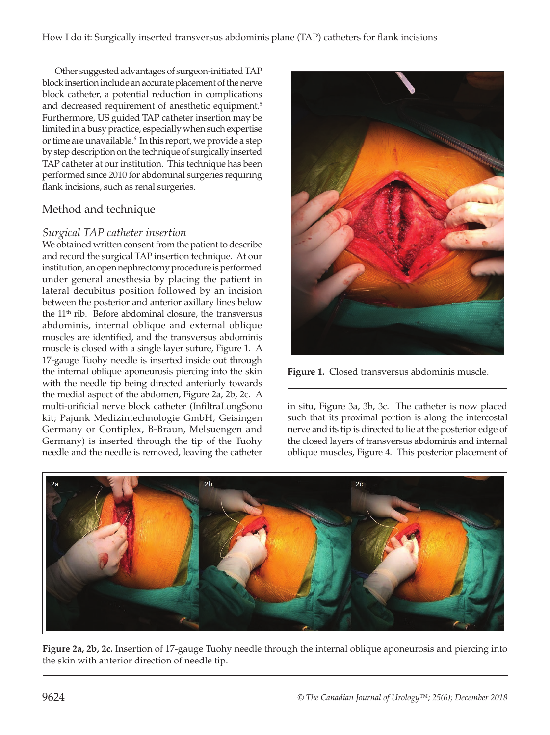Other suggested advantages of surgeon-initiated TAP block insertion include an accurate placement of the nerve block catheter, a potential reduction in complications and decreased requirement of anesthetic equipment.<sup>5</sup> Furthermore, US guided TAP catheter insertion may be limited in a busy practice, especially when such expertise or time are unavailable.6 In this report, we provide a step by step description on the technique of surgically inserted TAP catheter at our institution. This technique has been performed since 2010 for abdominal surgeries requiring flank incisions, such as renal surgeries.

### Method and technique

#### *Surgical TAP catheter insertion*

We obtained written consent from the patient to describe and record the surgical TAP insertion technique. At our institution, an open nephrectomy procedure is performed under general anesthesia by placing the patient in lateral decubitus position followed by an incision between the posterior and anterior axillary lines below the  $11<sup>th</sup>$  rib. Before abdominal closure, the transversus abdominis, internal oblique and external oblique muscles are identified, and the transversus abdominis muscle is closed with a single layer suture, Figure 1. A 17-gauge Tuohy needle is inserted inside out through the internal oblique aponeurosis piercing into the skin with the needle tip being directed anteriorly towards the medial aspect of the abdomen, Figure 2a, 2b, 2c. A multi-orificial nerve block catheter (InfiltraLongSono kit; Pajunk Medizintechnologie GmbH, Geisingen Germany or Contiplex, B-Braun, Melsuengen and Germany) is inserted through the tip of the Tuohy needle and the needle is removed, leaving the catheter



**Figure 1.** Closed transversus abdominis muscle.

in situ, Figure 3a, 3b, 3c. The catheter is now placed such that its proximal portion is along the intercostal nerve and its tip is directed to lie at the posterior edge of the closed layers of transversus abdominis and internal oblique muscles, Figure 4. This posterior placement of



**Figure 2a, 2b, 2c.** Insertion of 17-gauge Tuohy needle through the internal oblique aponeurosis and piercing into the skin with anterior direction of needle tip.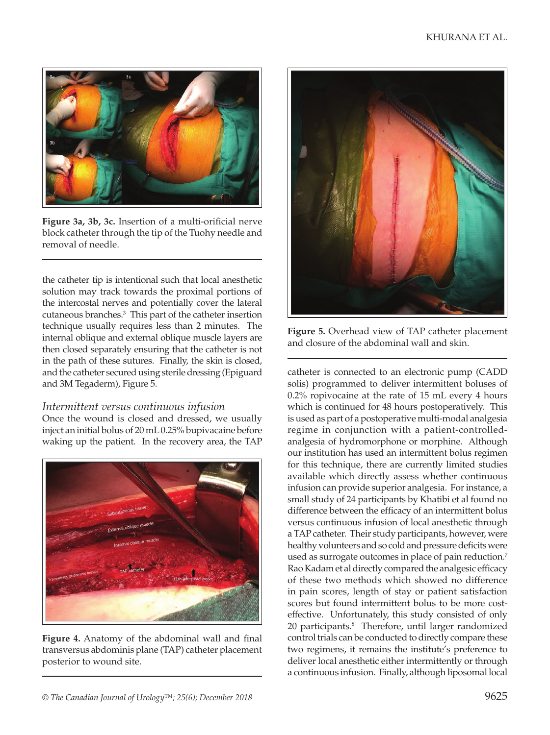

**Figure 3a, 3b, 3c.** Insertion of a multi-orificial nerve block catheter through the tip of the Tuohy needle and removal of needle.

the catheter tip is intentional such that local anesthetic solution may track towards the proximal portions of the intercostal nerves and potentially cover the lateral cutaneous branches.3 This part of the catheter insertion technique usually requires less than 2 minutes. The internal oblique and external oblique muscle layers are then closed separately ensuring that the catheter is not in the path of these sutures. Finally, the skin is closed, and the catheter secured using sterile dressing (Epiguard and 3M Tegaderm), Figure 5.

#### *Intermittent versus continuous infusion*

Once the wound is closed and dressed, we usually inject an initial bolus of 20 mL 0.25% bupivacaine before waking up the patient. In the recovery area, the TAP



**Figure 4.** Anatomy of the abdominal wall and final transversus abdominis plane (TAP) catheter placement posterior to wound site.



**Figure 5.** Overhead view of TAP catheter placement and closure of the abdominal wall and skin.

catheter is connected to an electronic pump (CADD solis) programmed to deliver intermittent boluses of 0.2% ropivocaine at the rate of 15 mL every 4 hours which is continued for 48 hours postoperatively. This is used as part of a postoperative multi-modal analgesia regime in conjunction with a patient-controlledanalgesia of hydromorphone or morphine. Although our institution has used an intermittent bolus regimen for this technique, there are currently limited studies available which directly assess whether continuous infusion can provide superior analgesia. For instance, a small study of 24 participants by Khatibi et al found no difference between the efficacy of an intermittent bolus versus continuous infusion of local anesthetic through a TAP catheter. Their study participants, however, were healthy volunteers and so cold and pressure deficits were used as surrogate outcomes in place of pain reduction.<sup>7</sup> Rao Kadam et al directly compared the analgesic efficacy of these two methods which showed no difference in pain scores, length of stay or patient satisfaction scores but found intermittent bolus to be more costeffective. Unfortunately, this study consisted of only 20 participants.<sup>8</sup> Therefore, until larger randomized control trials can be conducted to directly compare these two regimens, it remains the institute's preference to deliver local anesthetic either intermittently or through a continuous infusion. Finally, although liposomal local